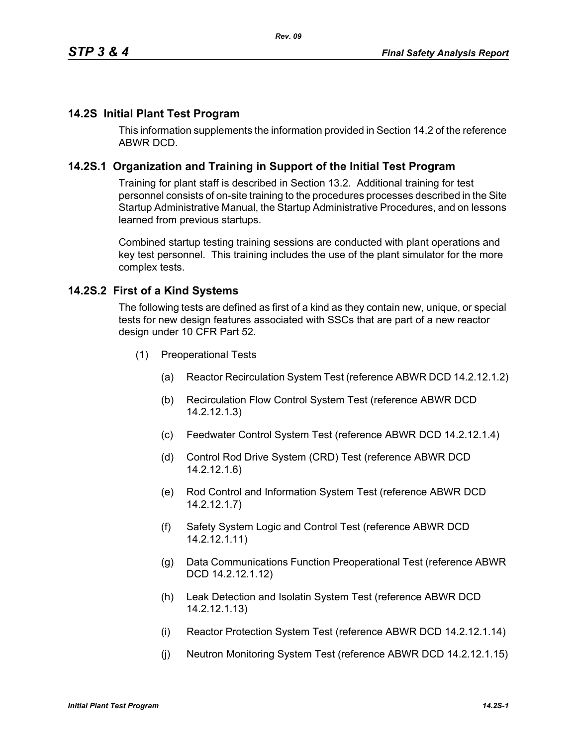#### **14.2S Initial Plant Test Program**

This information supplements the information provided in Section 14.2 of the reference ABWR DCD.

#### **14.2S.1 Organization and Training in Support of the Initial Test Program**

Training for plant staff is described in Section 13.2. Additional training for test personnel consists of on-site training to the procedures processes described in the Site Startup Administrative Manual, the Startup Administrative Procedures, and on lessons learned from previous startups.

Combined startup testing training sessions are conducted with plant operations and key test personnel. This training includes the use of the plant simulator for the more complex tests.

#### **14.2S.2 First of a Kind Systems**

The following tests are defined as first of a kind as they contain new, unique, or special tests for new design features associated with SSCs that are part of a new reactor design under 10 CFR Part 52.

- (1) Preoperational Tests
	- (a) Reactor Recirculation System Test (reference ABWR DCD 14.2.12.1.2)
	- (b) Recirculation Flow Control System Test (reference ABWR DCD 14.2.12.1.3)
	- (c) Feedwater Control System Test (reference ABWR DCD 14.2.12.1.4)
	- (d) Control Rod Drive System (CRD) Test (reference ABWR DCD 14.2.12.1.6)
	- (e) Rod Control and Information System Test (reference ABWR DCD 14.2.12.1.7)
	- (f) Safety System Logic and Control Test (reference ABWR DCD 14.2.12.1.11)
	- (g) Data Communications Function Preoperational Test (reference ABWR DCD 14.2.12.1.12)
	- (h) Leak Detection and Isolatin System Test (reference ABWR DCD 14.2.12.1.13)
	- (i) Reactor Protection System Test (reference ABWR DCD 14.2.12.1.14)
	- (j) Neutron Monitoring System Test (reference ABWR DCD 14.2.12.1.15)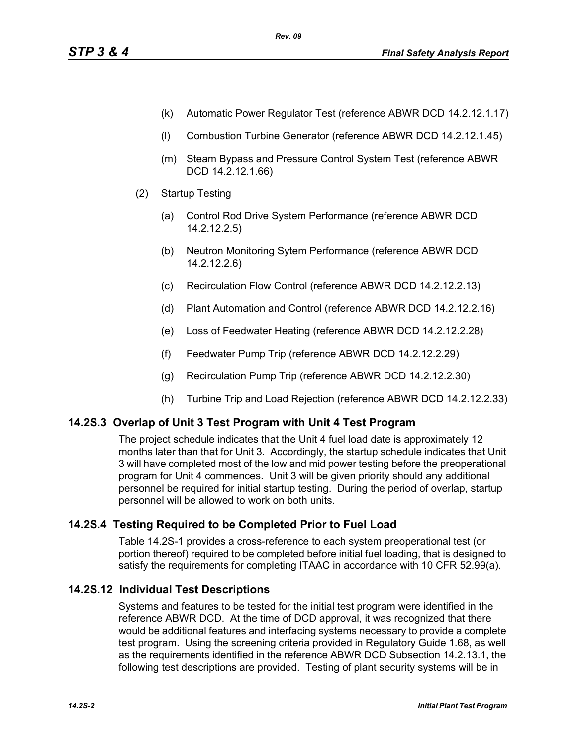- (k) Automatic Power Regulator Test (reference ABWR DCD 14.2.12.1.17)
- (l) Combustion Turbine Generator (reference ABWR DCD 14.2.12.1.45)
- (m) Steam Bypass and Pressure Control System Test (reference ABWR DCD 14.2.12.1.66)
- (2) Startup Testing
	- (a) Control Rod Drive System Performance (reference ABWR DCD 14.2.12.2.5)
	- (b) Neutron Monitoring Sytem Performance (reference ABWR DCD 14.2.12.2.6)
	- (c) Recirculation Flow Control (reference ABWR DCD 14.2.12.2.13)
	- (d) Plant Automation and Control (reference ABWR DCD 14.2.12.2.16)
	- (e) Loss of Feedwater Heating (reference ABWR DCD 14.2.12.2.28)
	- (f) Feedwater Pump Trip (reference ABWR DCD 14.2.12.2.29)
	- (g) Recirculation Pump Trip (reference ABWR DCD 14.2.12.2.30)
	- (h) Turbine Trip and Load Rejection (reference ABWR DCD 14.2.12.2.33)

## **14.2S.3 Overlap of Unit 3 Test Program with Unit 4 Test Program**

The project schedule indicates that the Unit 4 fuel load date is approximately 12 months later than that for Unit 3. Accordingly, the startup schedule indicates that Unit 3 will have completed most of the low and mid power testing before the preoperational program for Unit 4 commences. Unit 3 will be given priority should any additional personnel be required for initial startup testing. During the period of overlap, startup personnel will be allowed to work on both units.

## **14.2S.4 Testing Required to be Completed Prior to Fuel Load**

Table 14.2S-1 provides a cross-reference to each system preoperational test (or portion thereof) required to be completed before initial fuel loading, that is designed to satisfy the requirements for completing ITAAC in accordance with 10 CFR 52.99(a).

## **14.2S.12 Individual Test Descriptions**

Systems and features to be tested for the initial test program were identified in the reference ABWR DCD. At the time of DCD approval, it was recognized that there would be additional features and interfacing systems necessary to provide a complete test program. Using the screening criteria provided in Regulatory Guide 1.68, as well as the requirements identified in the reference ABWR DCD Subsection 14.2.13.1, the following test descriptions are provided. Testing of plant security systems will be in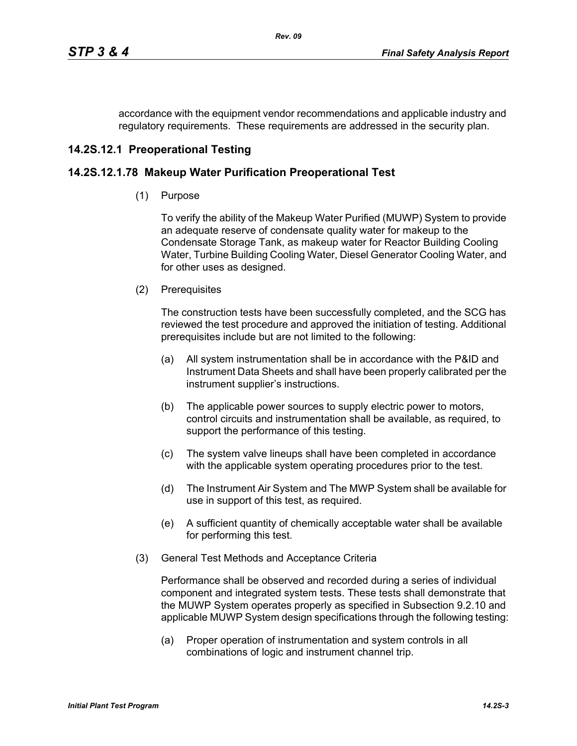accordance with the equipment vendor recommendations and applicable industry and regulatory requirements. These requirements are addressed in the security plan.

# **14.2S.12.1 Preoperational Testing**

## **14.2S.12.1.78 Makeup Water Purification Preoperational Test**

(1) Purpose

To verify the ability of the Makeup Water Purified (MUWP) System to provide an adequate reserve of condensate quality water for makeup to the Condensate Storage Tank, as makeup water for Reactor Building Cooling Water, Turbine Building Cooling Water, Diesel Generator Cooling Water, and for other uses as designed.

(2) Prerequisites

The construction tests have been successfully completed, and the SCG has reviewed the test procedure and approved the initiation of testing. Additional prerequisites include but are not limited to the following:

- (a) All system instrumentation shall be in accordance with the P&ID and Instrument Data Sheets and shall have been properly calibrated per the instrument supplier's instructions.
- (b) The applicable power sources to supply electric power to motors, control circuits and instrumentation shall be available, as required, to support the performance of this testing.
- (c) The system valve lineups shall have been completed in accordance with the applicable system operating procedures prior to the test.
- (d) The Instrument Air System and The MWP System shall be available for use in support of this test, as required.
- (e) A sufficient quantity of chemically acceptable water shall be available for performing this test.
- (3) General Test Methods and Acceptance Criteria

Performance shall be observed and recorded during a series of individual component and integrated system tests. These tests shall demonstrate that the MUWP System operates properly as specified in Subsection 9.2.10 and applicable MUWP System design specifications through the following testing:

(a) Proper operation of instrumentation and system controls in all combinations of logic and instrument channel trip.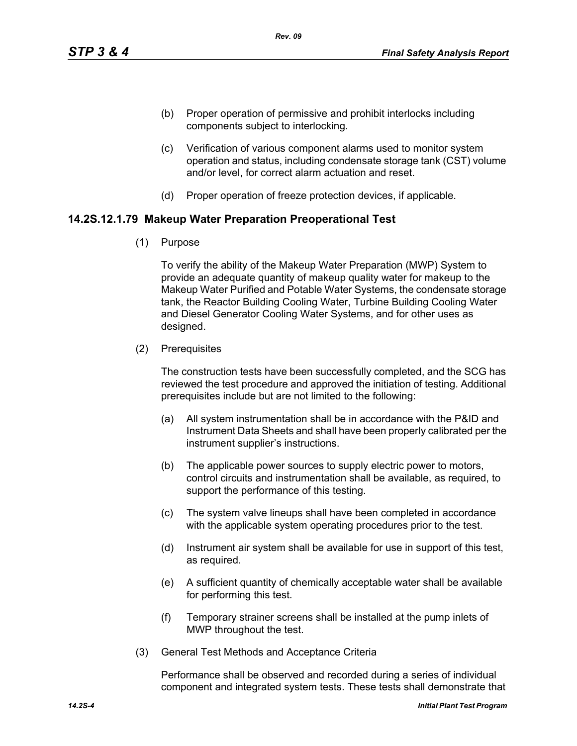- (b) Proper operation of permissive and prohibit interlocks including components subject to interlocking.
- (c) Verification of various component alarms used to monitor system operation and status, including condensate storage tank (CST) volume and/or level, for correct alarm actuation and reset.
- (d) Proper operation of freeze protection devices, if applicable.

#### **14.2S.12.1.79 Makeup Water Preparation Preoperational Test**

(1) Purpose

To verify the ability of the Makeup Water Preparation (MWP) System to provide an adequate quantity of makeup quality water for makeup to the Makeup Water Purified and Potable Water Systems, the condensate storage tank, the Reactor Building Cooling Water, Turbine Building Cooling Water and Diesel Generator Cooling Water Systems, and for other uses as designed.

(2) Prerequisites

The construction tests have been successfully completed, and the SCG has reviewed the test procedure and approved the initiation of testing. Additional prerequisites include but are not limited to the following:

- (a) All system instrumentation shall be in accordance with the P&ID and Instrument Data Sheets and shall have been properly calibrated per the instrument supplier's instructions.
- (b) The applicable power sources to supply electric power to motors, control circuits and instrumentation shall be available, as required, to support the performance of this testing.
- (c) The system valve lineups shall have been completed in accordance with the applicable system operating procedures prior to the test.
- (d) Instrument air system shall be available for use in support of this test, as required.
- (e) A sufficient quantity of chemically acceptable water shall be available for performing this test.
- (f) Temporary strainer screens shall be installed at the pump inlets of MWP throughout the test.
- (3) General Test Methods and Acceptance Criteria

Performance shall be observed and recorded during a series of individual component and integrated system tests. These tests shall demonstrate that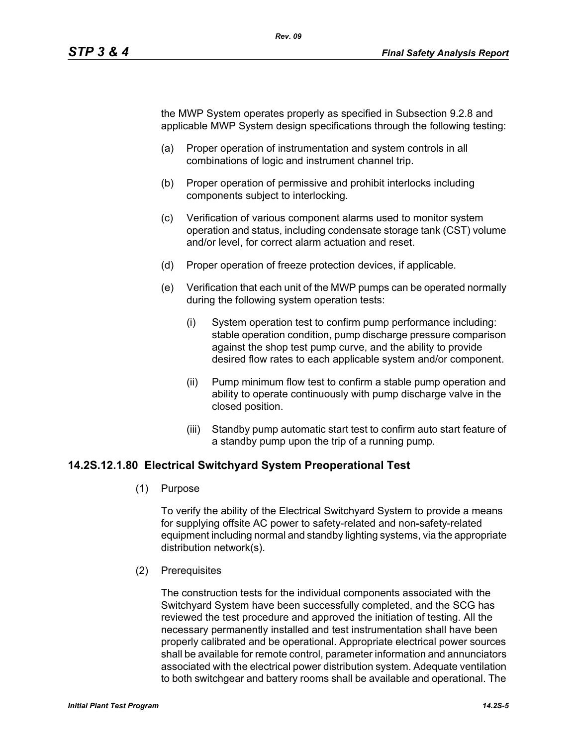the MWP System operates properly as specified in Subsection 9.2.8 and applicable MWP System design specifications through the following testing:

- (a) Proper operation of instrumentation and system controls in all combinations of logic and instrument channel trip.
- (b) Proper operation of permissive and prohibit interlocks including components subject to interlocking.
- (c) Verification of various component alarms used to monitor system operation and status, including condensate storage tank (CST) volume and/or level, for correct alarm actuation and reset.
- (d) Proper operation of freeze protection devices, if applicable.
- (e) Verification that each unit of the MWP pumps can be operated normally during the following system operation tests:
	- (i) System operation test to confirm pump performance including: stable operation condition, pump discharge pressure comparison against the shop test pump curve, and the ability to provide desired flow rates to each applicable system and/or component.
	- (ii) Pump minimum flow test to confirm a stable pump operation and ability to operate continuously with pump discharge valve in the closed position.
	- (iii) Standby pump automatic start test to confirm auto start feature of a standby pump upon the trip of a running pump.

#### **14.2S.12.1.80 Electrical Switchyard System Preoperational Test**

(1) Purpose

To verify the ability of the Electrical Switchyard System to provide a means for supplying offsite AC power to safety-related and non-safety-related equipment including normal and standby lighting systems, via the appropriate distribution network(s).

(2) Prerequisites

The construction tests for the individual components associated with the Switchyard System have been successfully completed, and the SCG has reviewed the test procedure and approved the initiation of testing. All the necessary permanently installed and test instrumentation shall have been properly calibrated and be operational. Appropriate electrical power sources shall be available for remote control, parameter information and annunciators associated with the electrical power distribution system. Adequate ventilation to both switchgear and battery rooms shall be available and operational. The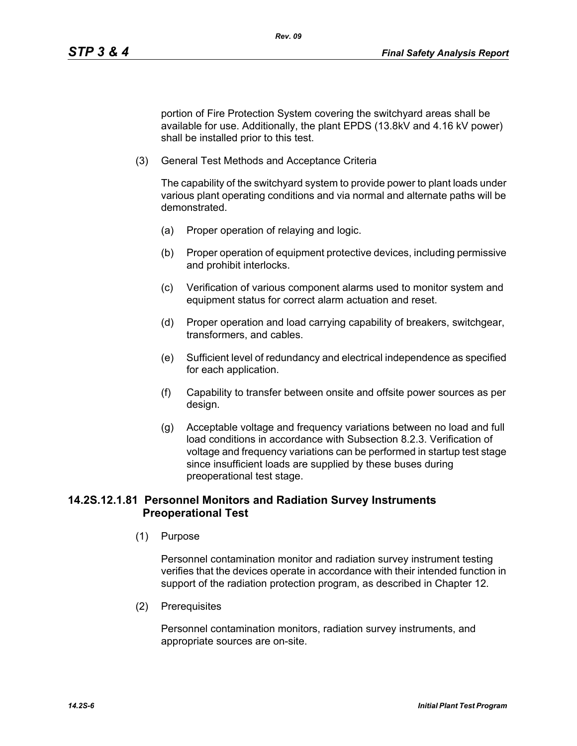portion of Fire Protection System covering the switchyard areas shall be available for use. Additionally, the plant EPDS (13.8kV and 4.16 kV power) shall be installed prior to this test.

(3) General Test Methods and Acceptance Criteria

The capability of the switchyard system to provide power to plant loads under various plant operating conditions and via normal and alternate paths will be demonstrated.

- (a) Proper operation of relaying and logic.
- (b) Proper operation of equipment protective devices, including permissive and prohibit interlocks.
- (c) Verification of various component alarms used to monitor system and equipment status for correct alarm actuation and reset.
- (d) Proper operation and load carrying capability of breakers, switchgear, transformers, and cables.
- (e) Sufficient level of redundancy and electrical independence as specified for each application.
- (f) Capability to transfer between onsite and offsite power sources as per design.
- (g) Acceptable voltage and frequency variations between no load and full load conditions in accordance with Subsection 8.2.3. Verification of voltage and frequency variations can be performed in startup test stage since insufficient loads are supplied by these buses during preoperational test stage.

## **14.2S.12.1.81 Personnel Monitors and Radiation Survey Instruments Preoperational Test**

(1) Purpose

Personnel contamination monitor and radiation survey instrument testing verifies that the devices operate in accordance with their intended function in support of the radiation protection program, as described in Chapter 12.

(2) Prerequisites

Personnel contamination monitors, radiation survey instruments, and appropriate sources are on-site.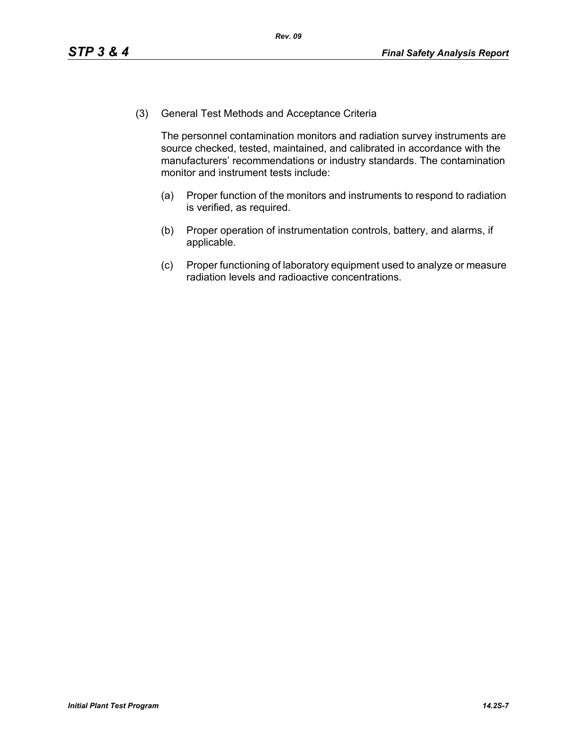(3) General Test Methods and Acceptance Criteria

The personnel contamination monitors and radiation survey instruments are source checked, tested, maintained, and calibrated in accordance with the manufacturers' recommendations or industry standards. The contamination monitor and instrument tests include:

- (a) Proper function of the monitors and instruments to respond to radiation is verified, as required.
- (b) Proper operation of instrumentation controls, battery, and alarms, if applicable.
- (c) Proper functioning of laboratory equipment used to analyze or measure radiation levels and radioactive concentrations.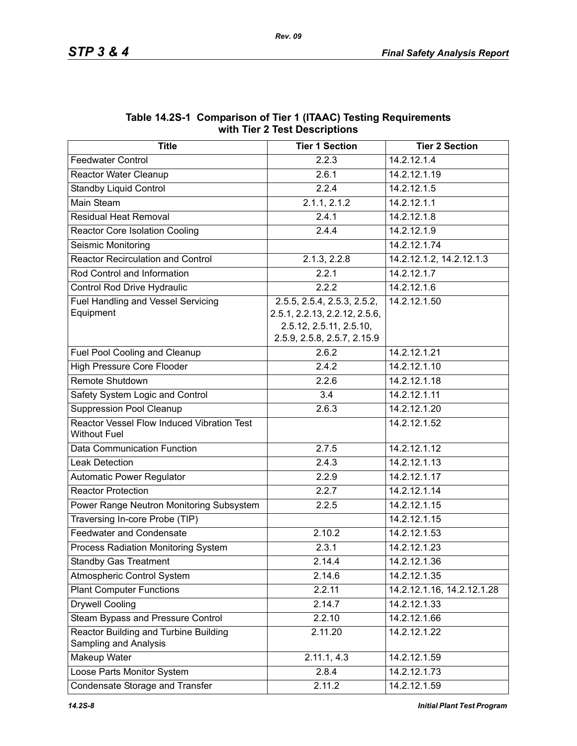| $\frac{1}{2}$                                                     |                               |                            |  |  |  |  |  |
|-------------------------------------------------------------------|-------------------------------|----------------------------|--|--|--|--|--|
| <b>Title</b>                                                      | <b>Tier 1 Section</b>         | <b>Tier 2 Section</b>      |  |  |  |  |  |
| <b>Feedwater Control</b>                                          | 2.2.3                         | 14.2.12.1.4                |  |  |  |  |  |
| Reactor Water Cleanup                                             | 2.6.1                         | 14.2.12.1.19               |  |  |  |  |  |
| <b>Standby Liquid Control</b>                                     | 2.2.4                         | 14.2.12.1.5                |  |  |  |  |  |
| Main Steam                                                        | $2.1.1, 2.\overline{1.2}$     | 14.2.12.1.1                |  |  |  |  |  |
| <b>Residual Heat Removal</b>                                      | 2.4.1                         | 14.2.12.1.8                |  |  |  |  |  |
| <b>Reactor Core Isolation Cooling</b>                             | 2.4.4                         | 14.2.12.1.9                |  |  |  |  |  |
| Seismic Monitoring                                                |                               | 14.2.12.1.74               |  |  |  |  |  |
| <b>Reactor Recirculation and Control</b>                          | 2.1.3, 2.2.8                  | 14.2.12.1.2, 14.2.12.1.3   |  |  |  |  |  |
| Rod Control and Information                                       | 2.2.1                         | 14.2.12.1.7                |  |  |  |  |  |
| Control Rod Drive Hydraulic                                       | 2.2.2                         | 14.2.12.1.6                |  |  |  |  |  |
| <b>Fuel Handling and Vessel Servicing</b>                         | 2.5.5, 2.5.4, 2.5.3, 2.5.2,   | 14.2.12.1.50               |  |  |  |  |  |
| Equipment                                                         | 2.5.1, 2.2.13, 2.2.12, 2.5.6, |                            |  |  |  |  |  |
|                                                                   | 2.5.12, 2.5.11, 2.5.10,       |                            |  |  |  |  |  |
|                                                                   | 2.5.9, 2.5.8, 2.5.7, 2.15.9   |                            |  |  |  |  |  |
| Fuel Pool Cooling and Cleanup                                     | 2.6.2                         | 14.2.12.1.21               |  |  |  |  |  |
| <b>High Pressure Core Flooder</b>                                 | 2.4.2                         | 14.2.12.1.10               |  |  |  |  |  |
| Remote Shutdown                                                   | 2.2.6                         | 14.2.12.1.18               |  |  |  |  |  |
| Safety System Logic and Control                                   | 3.4                           | 14.2.12.1.11               |  |  |  |  |  |
| <b>Suppression Pool Cleanup</b>                                   | 2.6.3                         | 14.2.12.1.20               |  |  |  |  |  |
| Reactor Vessel Flow Induced Vibration Test<br><b>Without Fuel</b> |                               | 14.2.12.1.52               |  |  |  |  |  |
| Data Communication Function                                       | 2.7.5                         | 14.2.12.1.12               |  |  |  |  |  |
| <b>Leak Detection</b>                                             | 2.4.3                         | 14.2.12.1.13               |  |  |  |  |  |
| Automatic Power Regulator                                         | 2.2.9                         | 14.2.12.1.17               |  |  |  |  |  |
| <b>Reactor Protection</b>                                         | 2.2.7                         | 14.2.12.1.14               |  |  |  |  |  |
| Power Range Neutron Monitoring Subsystem                          | 2.2.5                         | 14.2.12.1.15               |  |  |  |  |  |
| Traversing In-core Probe (TIP)                                    |                               | 14.2.12.1.15               |  |  |  |  |  |
| <b>Feedwater and Condensate</b>                                   | 2.10.2                        | 14.2.12.1.53               |  |  |  |  |  |
| Process Radiation Monitoring System                               | 2.3.1                         | 14.2.12.1.23               |  |  |  |  |  |
| <b>Standby Gas Treatment</b>                                      | 2.14.4                        | 14.2.12.1.36               |  |  |  |  |  |
| Atmospheric Control System                                        | 2.14.6                        | 14.2.12.1.35               |  |  |  |  |  |
| <b>Plant Computer Functions</b>                                   | 2.2.11                        | 14.2.12.1.16, 14.2.12.1.28 |  |  |  |  |  |
| <b>Drywell Cooling</b>                                            | 2.14.7                        | 14.2.12.1.33               |  |  |  |  |  |
| Steam Bypass and Pressure Control                                 | 2.2.10                        | 14.2.12.1.66               |  |  |  |  |  |
| Reactor Building and Turbine Building<br>Sampling and Analysis    | 2.11.20                       | 14.2.12.1.22               |  |  |  |  |  |
| Makeup Water                                                      | 2.11.1, 4.3                   | 14.2.12.1.59               |  |  |  |  |  |
| Loose Parts Monitor System                                        | 2.8.4                         | 14.2.12.1.73               |  |  |  |  |  |
| Condensate Storage and Transfer                                   | 2.11.2                        | 14.2.12.1.59               |  |  |  |  |  |

#### **Table 14.2S-1 Comparison of Tier 1 (ITAAC) Testing Requirements with Tier 2 Test Descriptions**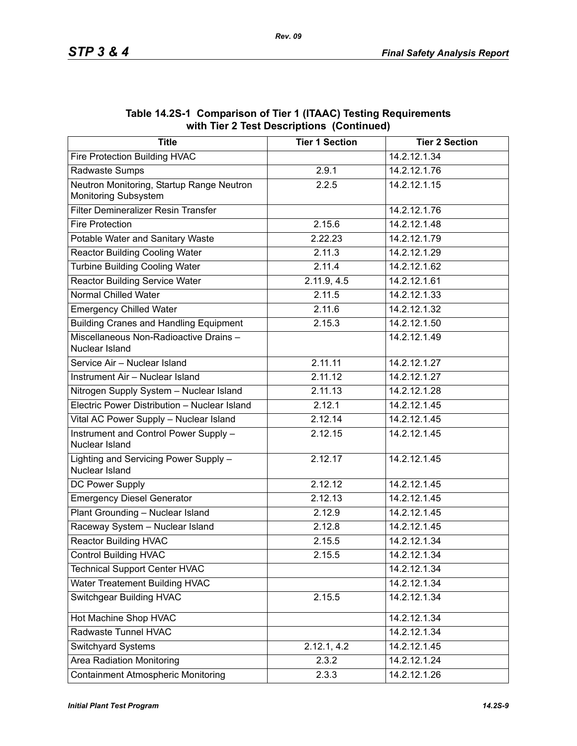| <b>Title</b>                                                      | <b>Tier 1 Section</b> | <b>Tier 2 Section</b> |
|-------------------------------------------------------------------|-----------------------|-----------------------|
| Fire Protection Building HVAC                                     |                       | 14.2.12.1.34          |
| Radwaste Sumps                                                    | 2.9.1                 | 14.2.12.1.76          |
| Neutron Monitoring, Startup Range Neutron<br>Monitoring Subsystem | 2.2.5                 | 14.2.12.1.15          |
| Filter Demineralizer Resin Transfer                               |                       | 14.2.12.1.76          |
| <b>Fire Protection</b>                                            | 2.15.6                | 14.2.12.1.48          |
| Potable Water and Sanitary Waste                                  | 2.22.23               | 14.2.12.1.79          |
| <b>Reactor Building Cooling Water</b>                             | 2.11.3                | 14.2.12.1.29          |
| <b>Turbine Building Cooling Water</b>                             | 2.11.4                | 14.2.12.1.62          |
| <b>Reactor Building Service Water</b>                             | 2.11.9, 4.5           | 14.2.12.1.61          |
| <b>Normal Chilled Water</b>                                       | 2.11.5                | 14.2.12.1.33          |
| <b>Emergency Chilled Water</b>                                    | 2.11.6                | 14.2.12.1.32          |
| <b>Building Cranes and Handling Equipment</b>                     | 2.15.3                | 14.2.12.1.50          |
| Miscellaneous Non-Radioactive Drains -<br>Nuclear Island          |                       | 14.2.12.1.49          |
| Service Air - Nuclear Island                                      | 2.11.11               | 14.2.12.1.27          |
| Instrument Air - Nuclear Island                                   | 2.11.12               | 14.2.12.1.27          |
| Nitrogen Supply System - Nuclear Island                           | 2.11.13               | 14.2.12.1.28          |
| Electric Power Distribution - Nuclear Island                      | 2.12.1                | 14.2.12.1.45          |
| Vital AC Power Supply - Nuclear Island                            | 2.12.14               | 14.2.12.1.45          |
| Instrument and Control Power Supply -<br>Nuclear Island           | 2.12.15               | 14.2.12.1.45          |
| Lighting and Servicing Power Supply -<br>Nuclear Island           | 2.12.17               | 14.2.12.1.45          |
| DC Power Supply                                                   | 2.12.12               | 14.2.12.1.45          |
| <b>Emergency Diesel Generator</b>                                 | 2.12.13               | 14.2.12.1.45          |
| Plant Grounding - Nuclear Island                                  | 2.12.9                | 14.2.12.1.45          |
| Raceway System - Nuclear Island                                   | 2.12.8                | 14.2.12.1.45          |
| <b>Reactor Building HVAC</b>                                      | 2.15.5                | 14.2.12.1.34          |
| <b>Control Building HVAC</b>                                      | 2.15.5                | 14.2.12.1.34          |
| <b>Technical Support Center HVAC</b>                              |                       | 14.2.12.1.34          |
| Water Treatement Building HVAC                                    |                       | 14.2.12.1.34          |
| <b>Switchgear Building HVAC</b>                                   | 2.15.5                | 14.2.12.1.34          |
| Hot Machine Shop HVAC                                             |                       | 14.2.12.1.34          |
| Radwaste Tunnel HVAC                                              |                       | 14.2.12.1.34          |
| Switchyard Systems                                                | 2.12.1, 4.2           | 14.2.12.1.45          |
| <b>Area Radiation Monitoring</b>                                  | 2.3.2                 | 14.2.12.1.24          |
| <b>Containment Atmospheric Monitoring</b>                         | 2.3.3                 | 14.2.12.1.26          |

**Table 14.2S-1 Comparison of Tier 1 (ITAAC) Testing Requirements with Tier 2 Test Descriptions (Continued)**